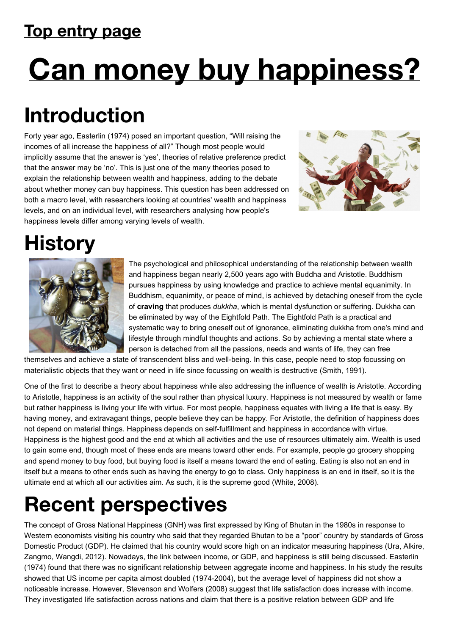#### **Top entry page**

# **Can money buy happiness?**

# **Introduction**

Forty year ago, Easterlin (1974) posed an important question, "Will raising the incomes of all increase the happiness of all?" Though most people would implicitly assume that the answer is 'yes', theories of relative preference predict that the answer may be 'no'. This is just one of the many theories posed to explain the relationship between wealth and happiness, adding to the debate about whether money can buy happiness. This question has been addressed on both a macro level, with researchers looking at countries' wealth and happiness levels, and on an individual level, with researchers analysing how people's happiness levels differ among varying levels of wealth.



# **History**



The psychological and philosophical understanding of the relationship between wealth and happiness began nearly 2,500 years ago with Buddha and Aristotle. Buddhism pursues happiness by using knowledge and practice to achieve mental equanimity. In Buddhism, equanimity, or peace of mind, is achieved by detaching oneself from the cycle of **craving** that produces *dukkha*, which is mental dysfunction or suffering. Dukkha can be eliminated by way of the Eightfold Path. The Eightfold Path is a practical and systematic way to bring oneself out of ignorance, eliminating dukkha from one's mind and lifestyle through mindful thoughts and actions. So by achieving a mental state where a person is detached from all the passions, needs and wants of life, they can free

themselves and achieve a state of transcendent bliss and well-being. In this case, people need to stop focussing on materialistic objects that they want or need in life since focussing on wealth is destructive (Smith, 1991).

One of the first to describe a theory about happiness while also addressing the influence of wealth is Aristotle. According to Aristotle, happiness is an activity of the soul rather than physical luxury. Happiness is not measured by wealth or fame but rather happiness is living your life with virtue. For most people, happiness equates with living a life that is easy. By having money, and extravagant things, people believe they can be happy. For Aristotle, the definition of happiness does not depend on material things. Happiness depends on self-fulfillment and happiness in accordance with virtue. Happiness is the highest good and the end at which all activities and the use of resources ultimately aim. Wealth is used to gain some end, though most of these ends are means toward other ends. For example, people go grocery shopping and spend money to buy food, but buying food is itself a means toward the end of eating. Eating is also not an end in itself but a means to other ends such as having the energy to go to class. Only happiness is an end in itself, so it is the ultimate end at which all our activities aim. As such, it is the supreme good (White, 2008).

# **Recent perspectives**

The concept of Gross National Happiness (GNH) was first expressed by King of Bhutan in the 1980s in response to Western economists visiting his country who said that they regarded Bhutan to be a "poor" country by standards of Gross Domestic Product (GDP). He claimed that his country would score high on an indicator measuring happiness (Ura, Alkire, Zangmo, Wangdi, 2012). Nowadays, the link between income, or GDP, and happiness is still being discussed. Easterlin (1974) found that there was no significant relationship between aggregate income and happiness. In his study the results showed that US income per capita almost doubled (1974-2004), but the average level of happiness did not show a noticeable increase. However, Stevenson and Wolfers (2008) suggest that life satisfaction does increase with income. They investigated life satisfaction across nations and claim that there is a positive relation between GDP and life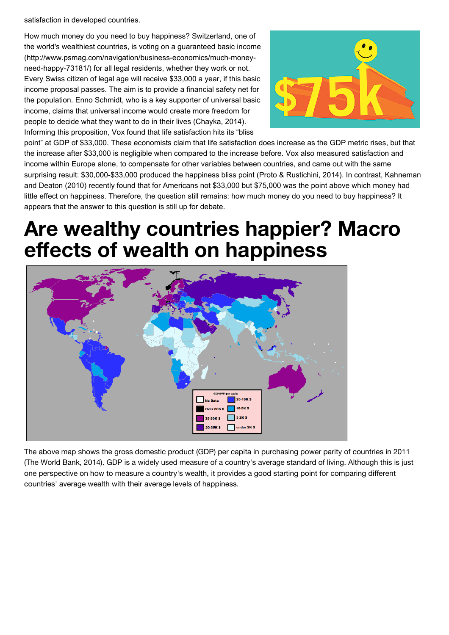satisfaction in developed countries.

How much money do you need to buy happiness? Switzerland, one of [the world's wealthiest countries, is voting on a guaranteed basic income](http://www.psmag.com/navigation/business-economics/much-money-need-happy-73181/) (http://www.psmag.com/navigation/business-economics/much-moneyneed-happy-73181/) for all legal residents, whether they work or not. Every Swiss citizen of legal age will receive \$33,000 a year, if this basic income proposal passes. The aim is to provide a financial safety net for the population. Enno Schmidt, who is a key supporter of universal basic income, claims that universal income would create more freedom for people to decide what they want to do in their lives (Chayka, 2014). Informing this proposition, Vox found that life satisfaction hits its "bliss



point" at GDP of \$33,000. These economists claim that life satisfaction does increase as the GDP metric rises, but that the increase after \$33,000 is negligible when compared to the increase before. Vox also measured satisfaction and income within Europe alone, to compensate for other variables between countries, and came out with the same surprising result: \$30,000-\$33,000 produced the happiness bliss point (Proto & Rustichini, 2014). In contrast, Kahneman and Deaton (2010) recently found that for Americans not \$33,000 but \$75,000 was the point above which money had little effect on happiness. Therefore, the question still remains: how much money do you need to buy happiness? It appears that the answer to this question is still up for debate.

## **Are wealthy countries happier? Macro effects of wealth on happiness**



The above map shows the gross domestic product (GDP) per capita in purchasing power parity of countries in 2011 (The World Bank, 2014). GDP is a widely used measure of a country's average standard of living. Although this is just one perspective on how to measure a country's wealth, it provides a good starting point for comparing different countries' average wealth with their average levels of happiness.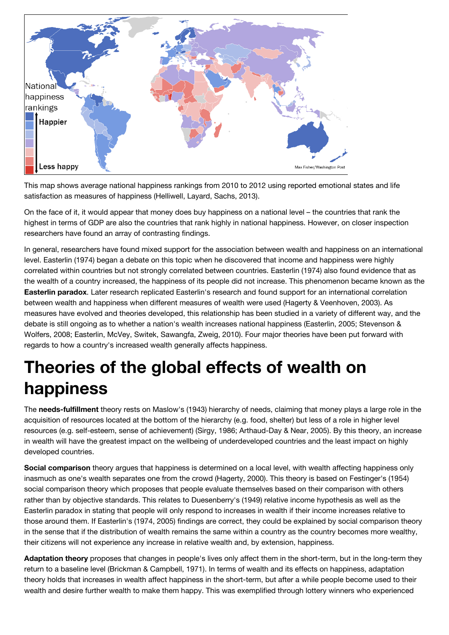

This map shows average national happiness rankings from 2010 to 2012 using reported emotional states and life satisfaction as measures of happiness (Helliwell, Layard, Sachs, 2013).

On the face of it, it would appear that money does buy happiness on a national level – the countries that rank the highest in terms of GDP are also the countries that rank highly in national happiness. However, on closer inspection researchers have found an array of contrasting findings.

In general, researchers have found mixed support for the association between wealth and happiness on an international level. Easterlin (1974) began a debate on this topic when he discovered that income and happiness were highly correlated within countries but not strongly correlated between countries. Easterlin (1974) also found evidence that as the wealth of a country increased, the happiness of its people did not increase. This phenomenon became known as the **Easterlin paradox**. Later research replicated Easterlin's research and found support for an international correlation between wealth and happiness when different measures of wealth were used (Hagerty & Veenhoven, 2003). As measures have evolved and theories developed, this relationship has been studied in a variety of different way, and the debate is still ongoing as to whether a nation's wealth increases national happiness (Easterlin, 2005; Stevenson & Wolfers, 2008; Easterlin, McVey, Switek, Sawangfa, Zweig, 2010). Four major theories have been put forward with regards to how a country's increased wealth generally affects happiness.

#### **Theories of the global effects of wealth on happiness**

The **needs-fulfillment** theory rests on Maslow's (1943) hierarchy of needs, claiming that money plays a large role in the acquisition of resources located at the bottom of the hierarchy (e.g. food, shelter) but less of a role in higher level resources (e.g. self-esteem, sense of achievement) (Sirgy, 1986; Arthaud-Day & Near, 2005). By this theory, an increase in wealth will have the greatest impact on the wellbeing of underdeveloped countries and the least impact on highly developed countries.

**Social comparison** theory argues that happiness is determined on a local level, with wealth affecting happiness only inasmuch as one's wealth separates one from the crowd (Hagerty, 2000). This theory is based on Festinger's (1954) social comparison theory which proposes that people evaluate themselves based on their comparison with others rather than by objective standards. This relates to Duesenberry's (1949) relative income hypothesis as well as the Easterlin paradox in stating that people will only respond to increases in wealth if their income increases relative to those around them. If Easterlin's (1974, 2005) findings are correct, they could be explained by social comparison theory in the sense that if the distribution of wealth remains the same within a country as the country becomes more wealthy, their citizens will not experience any increase in relative wealth and, by extension, happiness.

**Adaptation theory** proposes that changes in people's lives only affect them in the short-term, but in the long-term they return to a baseline level (Brickman & Campbell, 1971). In terms of wealth and its effects on happiness, adaptation theory holds that increases in wealth affect happiness in the short-term, but after a while people become used to their wealth and desire further wealth to make them happy. This was exemplified through lottery winners who experienced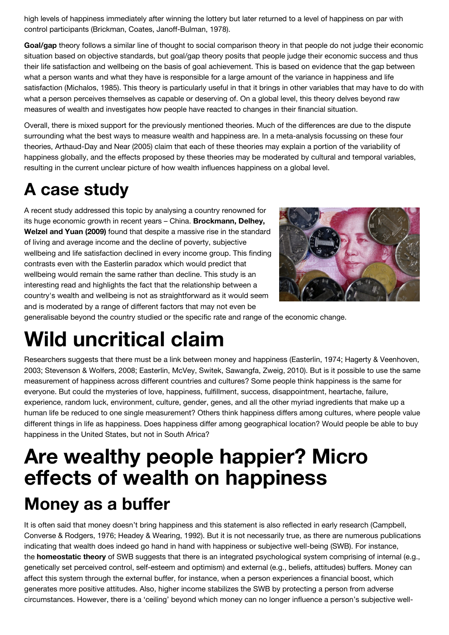high levels of happiness immediately after winning the lottery but later returned to a level of happiness on par with control participants (Brickman, Coates, Janoff-Bulman, 1978).

**Goal/gap** theory follows a similar line of thought to social comparison theory in that people do not judge their economic situation based on objective standards, but goal/gap theory posits that people judge their economic success and thus their life satisfaction and wellbeing on the basis of goal achievement. This is based on evidence that the gap between what a person wants and what they have is responsible for a large amount of the variance in happiness and life satisfaction (Michalos, 1985). This theory is particularly useful in that it brings in other variables that may have to do with what a person perceives themselves as capable or deserving of. On a global level, this theory delves beyond raw measures of wealth and investigates how people have reacted to changes in their financial situation.

Overall, there is mixed support for the previously mentioned theories. Much of the differences are due to the dispute surrounding what the best ways to measure wealth and happiness are. In a meta-analysis focussing on these four theories, Arthaud-Day and Near (2005) claim that each of these theories may explain a portion of the variability of happiness globally, and the effects proposed by these theories may be moderated by cultural and temporal variables, resulting in the current unclear picture of how wealth influences happiness on a global level.

#### **A case study**

A recent study addressed this topic by analysing a country renowned for its huge economic growth in recent years – China. **Brockmann, Delhey, Welzel and Yuan (2009)** found that despite a massive rise in the standard of living and average income and the decline of poverty, subjective wellbeing and life satisfaction declined in every income group. This finding contrasts even with the Easterlin paradox which would predict that wellbeing would remain the same rather than decline. This study is an interesting read and highlights the fact that the relationship between a country's wealth and wellbeing is not as straightforward as it would seem and is moderated by a range of different factors that may not even be



generalisable beyond the country studied or the specific rate and range of the economic change.

## **Wild uncritical claim**

Researchers suggests that there must be a link between money and happiness (Easterlin, 1974; Hagerty & Veenhoven, 2003; Stevenson & Wolfers, 2008; Easterlin, McVey, Switek, Sawangfa, Zweig, 2010). But is it possible to use the same measurement of happiness across different countries and cultures? Some people think happiness is the same for everyone. But could the mysteries of love, happiness, fulfillment, success, disappointment, heartache, failure, experience, random luck, environment, culture, gender, genes, and all the other myriad ingredients that make up a human life be reduced to one single measurement? Others think happiness differs among cultures, where people value different things in life as happiness. Does happiness differ among geographical location? Would people be able to buy happiness in the United States, but not in South Africa?

### **Are wealthy people happier? Micro effects of wealth on happiness Money as a buffer**

It is often said that money doesn't bring happiness and this statement is also reflected in early research (Campbell, Converse & Rodgers, 1976; Headey & Wearing, 1992). But it is not necessarily true, as there are numerous publications indicating that wealth does indeed go hand in hand with happiness or subjective well-being (SWB). For instance, the **homeostatic theory** of SWB suggests that there is an integrated psychological system comprising of internal (e.g., genetically set perceived control, self-esteem and optimism) and external (e.g., beliefs, attitudes) buffers. Money can affect this system through the external buffer, for instance, when a person experiences a financial boost, which generates more positive attitudes. Also, higher income stabilizes the SWB by protecting a person from adverse circumstances. However, there is a 'ceiling' beyond which money can no longer influence a person's subjective well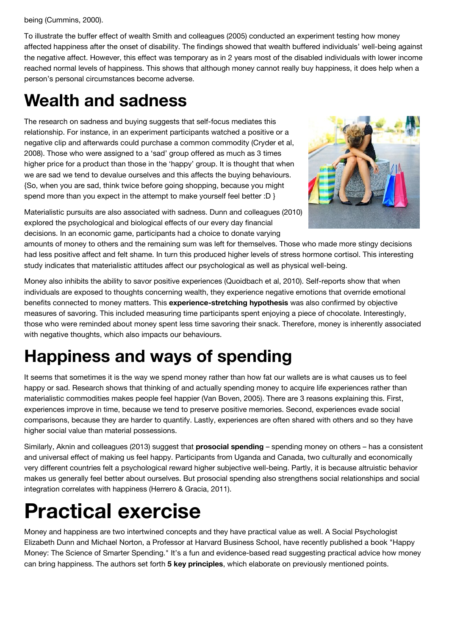being (Cummins, 2000).

To illustrate the buffer effect of wealth Smith and colleagues (2005) conducted an experiment testing how money affected happiness after the onset of disability. The findings showed that wealth buffered individuals' well-being against the negative affect. However, this effect was temporary as in 2 years most of the disabled individuals with lower income reached normal levels of happiness. This shows that although money cannot really buy happiness, it does help when a person's personal circumstances become adverse.

#### **Wealth and sadness**

The research on sadness and buying suggests that self-focus mediates this relationship. For instance, in an experiment participants watched a positive or a negative clip and afterwards could purchase a common commodity (Cryder et al, 2008). Those who were assigned to a 'sad' group offered as much as 3 times higher price for a product than those in the 'happy' group. It is thought that when we are sad we tend to devalue ourselves and this affects the buying behaviours. {So, when you are sad, think twice before going shopping, because you might spend more than you expect in the attempt to make yourself feel better :D }



Materialistic pursuits are also associated with sadness. Dunn and colleagues (2010) explored the psychological and biological effects of our every day financial decisions. In an economic game, participants had a choice to donate varying

amounts of money to others and the remaining sum was left for themselves. Those who made more stingy decisions had less positive affect and felt shame. In turn this produced higher levels of stress hormone cortisol. This interesting study indicates that materialistic attitudes affect our psychological as well as physical well-being.

Money also inhibits the ability to savor positive experiences (Quoidbach et al, 2010). Self-reports show that when individuals are exposed to thoughts concerning wealth, they experience negative emotions that override emotional benefits connected to money matters. This **experience-stretching hypothesis** was also confirmed by objective measures of savoring. This included measuring time participants spent enjoying a piece of chocolate. Interestingly, those who were reminded about money spent less time savoring their snack. Therefore, money is inherently associated with negative thoughts, which also impacts our behaviours.

#### **Happiness and ways of spending**

It seems that sometimes it is the way we spend money rather than how fat our wallets are is what causes us to feel happy or sad. Research shows that thinking of and actually spending money to acquire life experiences rather than materialistic commodities makes people feel happier (Van Boven, 2005). There are 3 reasons explaining this. First, experiences improve in time, because we tend to preserve positive memories. Second, experiences evade social comparisons, because they are harder to quantify. Lastly, experiences are often shared with others and so they have higher social value than material possessions.

Similarly, Aknin and colleagues (2013) suggest that **prosocial spending** – spending money on others – has a consistent and universal effect of making us feel happy. Participants from Uganda and Canada, two culturally and economically very different countries felt a psychological reward higher subjective well-being. Partly, it is because altruistic behavior makes us generally feel better about ourselves. But prosocial spending also strengthens social relationships and social integration correlates with happiness (Herrero & Gracia, 2011).

## **Practical exercise**

Money and happiness are two intertwined concepts and they have practical value as well. A Social Psychologist Elizabeth Dunn and Michael Norton, a Professor at Harvard Business School, have recently published a book "Happy Money: The Science of Smarter Spending." It's a fun and evidence-based read suggesting practical advice how money can bring happiness. The authors set forth **5 key principles**, which elaborate on previously mentioned points.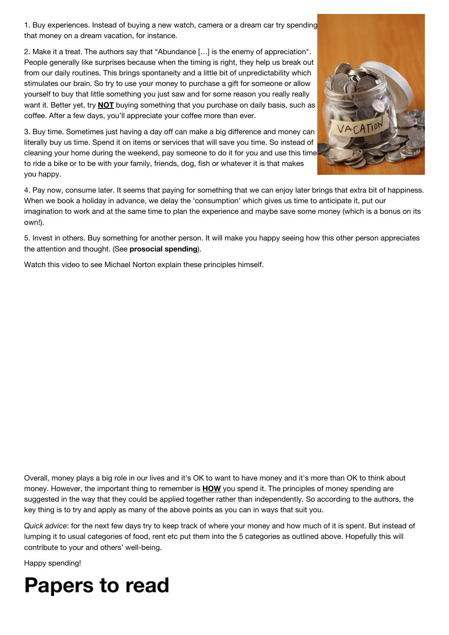1. Buy experiences. Instead of buying a new watch, camera or a dream car try spending that money on a dream vacation, for instance.

2. Make it a treat. The authors say that "Abundance […] is the enemy of appreciation". People generally like surprises because when the timing is right, they help us break out from our daily routines. This brings spontaneity and a little bit of unpredictability which stimulates our brain. So try to use your money to purchase a gift for someone or allow yourself to buy that little something you just saw and for some reason you really really want it. Better yet, try **NOT** buying something that you purchase on daily basis, such as coffee. After a few days, you'll appreciate your coffee more than ever.

3. Buy time. Sometimes just having a day off can make a big difference and money can literally buy us time. Spend it on items or services that will save you time. So instead of cleaning your home during the weekend, pay someone to do it for you and use this time to ride a bike or to be with your family, friends, dog, fish or whatever it is that makes you happy.



4. Pay now, consume later. It seems that paying for something that we can enjoy later brings that extra bit of happiness. When we book a holiday in advance, we delay the 'consumption' which gives us time to anticipate it, put our imagination to work and at the same time to plan the experience and maybe save some money (which is a bonus on its own!).

5. Invest in others. Buy something for another person. It will make you happy seeing how this other person appreciates the attention and thought. (See **prosocial spending**).

Watch this video to see Michael Norton explain these principles himself.

Overall, money plays a big role in our lives and it's OK to want to have money and it's more than OK to think about money. However, the important thing to remember is **HOW** you spend it. The principles of money spending are suggested in the way that they could be applied together rather than independently. So according to the authors, the key thing is to try and apply as many of the above points as you can in ways that suit you.

*Quick advice*: for the next few days try to keep track of where your money and how much of it is spent. But instead of lumping it to usual categories of food, rent etc put them into the 5 categories as outlined above. Hopefully this will contribute to your and others' well-being.

Happy spending!

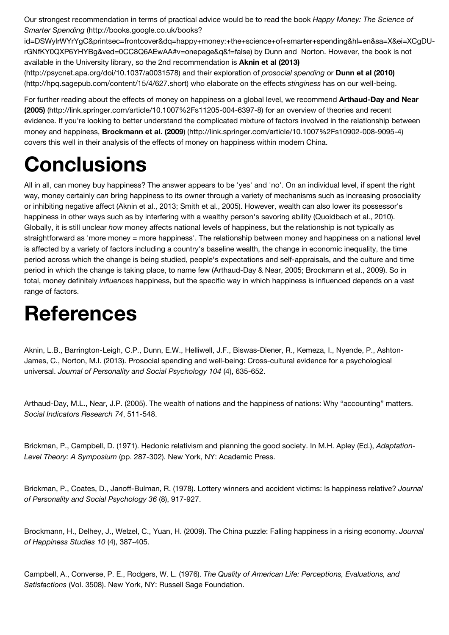Our strongest recommendation in terms of practical advice would be to read the book *Happy Money: The Science of Smarter Spending* (http://books.google.co.uk/books?

[id=DSWylrWYrYgC&printsec=frontcover&dq=happy+money:+the+science+of+smarter+spending&hl=en&sa=X&ei=XCgDU](http://books.google.co.uk/books?id=DSWylrWYrYgC&printsec=frontcover&dq=happy+money:+the+science+of+smarter+spending&hl=en&sa=X&ei=XCgDU-rGNfKY0QXP6YHYBg&ved=0CC8Q6AEwAA#v=onepage&q&f=false)rGNfKY0QXP6YHYBg&ved=0CC8Q6AEwAA#v=onepage&q&f=false) by Dunn and Norton. However, the book is not available in the University library, so the 2nd recommendation is **Aknin et al (2013)** [\(http://psycnet.apa.org/doi/10.1037/a0031578\) and their exploration of](http://psycnet.apa.org/doi/10.1037/a0031578) *prosocial spending* or **Dunn et al (2010)**

[\(http://hpq.sagepub.com/content/15/4/627.short\) who elaborate on the effects](http://hpq.sagepub.com/content/15/4/627.short) *stinginess* has on our well-being.

For further reading about the effects of money on happiness on a global level, we recommend **Arthaud-Day and Near (2005)** [\(http://link.springer.com/article/10.1007%2Fs11205-004-6397-8\) for an overview of theories and recent](http://link.springer.com/article/10.1007%2Fs11205-004-6397-8) evidence. If you're looking to better understand the complicated mixture of factors involved in the relationship between money and happiness, **Brockmann et al. (2009**[\) \(http://link.springer.com/article/10.1007%2Fs10902-008-9095-4\)](http://link.springer.com/article/10.1007%2Fs10902-008-9095-4) covers this well in their analysis of the effects of money on happiness within modern China.

## **Conclusions**

All in all, can money buy happiness? The answer appears to be 'yes' and 'no'. On an individual level, if spent the right way, money certainly *can* bring happiness to its owner through a variety of mechanisms such as increasing prosociality or inhibiting negative affect (Aknin et al., 2013; Smith et al., 2005). However, wealth can also lower its possessor's happiness in other ways such as by interfering with a wealthy person's savoring ability (Quoidbach et al., 2010). Globally, it is still unclear *how* money affects national levels of happiness, but the relationship is not typically as straightforward as 'more money = more happiness'. The relationship between money and happiness on a national level is affected by a variety of factors including a country's baseline wealth, the change in economic inequality, the time period across which the change is being studied, people's expectations and self-appraisals, and the culture and time period in which the change is taking place, to name few (Arthaud-Day & Near, 2005; Brockmann et al., 2009). So in total, money definitely *influences* happiness, but the specific way in which happiness is influenced depends on a vast range of factors.

## **References**

Aknin, L.B., Barrington-Leigh, C.P., Dunn, E.W., Helliwell, J.F., Biswas-Diener, R., Kemeza, I., Nyende, P., Ashton-James, C., Norton, M.I. (2013). Prosocial spending and well-being: Cross-cultural evidence for a psychological universal. *Journal of Personality and Social Psychology 104* (4), 635-652.

Arthaud-Day, M.L., Near, J.P. (2005). The wealth of nations and the happiness of nations: Why "accounting" matters. *Social Indicators Research 74*, 511-548.

Brickman, P., Campbell, D. (1971). Hedonic relativism and planning the good society. In M.H. Apley (Ed.), *Adaptation-Level Theory: A Symposium* (pp. 287-302). New York, NY: Academic Press.

Brickman, P., Coates, D., Janoff-Bulman, R. (1978). Lottery winners and accident victims: Is happiness relative? *Journal of Personality and Social Psychology 36* (8), 917-927.

Brockmann, H., Delhey, J., Welzel, C., Yuan, H. (2009). The China puzzle: Falling happiness in a rising economy. *Journal of Happiness Studies 10* (4), 387-405.

Campbell, A., Converse, P. E., Rodgers, W. L. (1976). *The Quality of American Life: Perceptions, Evaluations, and Satisfactions* (Vol. 3508). New York, NY: Russell Sage Foundation.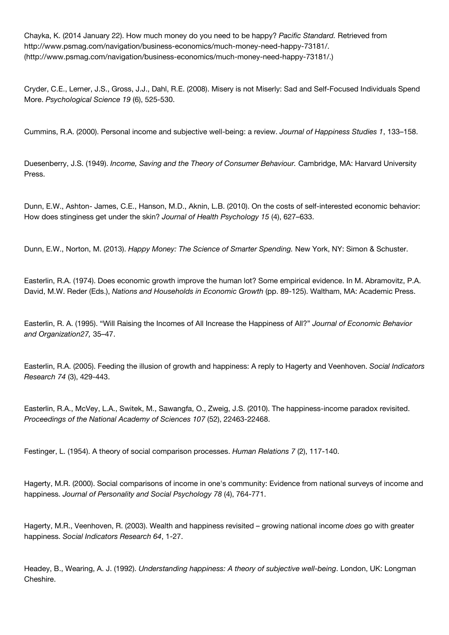Chayka, K. (2014 January 22). How much money do you need to be happy? *Pacific Standard.* Retrieved from http://www.psmag.com/navigation/business-economics/much-money-need-happy-73181/. [\(http://www.psmag.com/navigation/business-economics/much-money-need-happy-73181/.\)](http://www.psmag.com/navigation/business-economics/much-money-need-happy-73181/)

Cryder, C.E., Lerner, J.S., Gross, J.J., Dahl, R.E. (2008). Misery is not Miserly: Sad and Self-Focused Individuals Spend More. *Psychological Science 19* (6), 525-530.

Cummins, R.A. (2000). Personal income and subjective well-being: a review. *Journal of Happiness Studies 1*, 133–158.

Duesenberry, J.S. (1949). *Income, Saving and the Theory of Consumer Behaviour.* Cambridge, MA: Harvard University Press.

Dunn, E.W., Ashton- James, C.E., Hanson, M.D., Aknin, L.B. (2010). On the costs of self-interested economic behavior: How does stinginess get under the skin? *Journal of Health Psychology 15* (4), 627–633.

Dunn, E.W., Norton, M. (2013). *Happy Money: The Science of Smarter Spending.* New York, NY: Simon & Schuster.

Easterlin, R.A. (1974). Does economic growth improve the human lot? Some empirical evidence. In M. Abramovitz, P.A. David, M.W. Reder (Eds.), *Nations and Households in Economic Growth* (pp. 89-125). Waltham, MA: Academic Press.

Easterlin, R. A. (1995). "Will Raising the Incomes of All Increase the Happiness of All?" *Journal of Economic Behavior and Organization27,* 35–47.

Easterlin, R.A. (2005). Feeding the illusion of growth and happiness: A reply to Hagerty and Veenhoven. *Social Indicators Research 74* (3), 429-443.

Easterlin, R.A., McVey, L.A., Switek, M., Sawangfa, O., Zweig, J.S. (2010). The happiness-income paradox revisited. *Proceedings of the National Academy of Sciences 107* (52), 22463-22468.

Festinger, L. (1954). A theory of social comparison processes. *Human Relations 7* (2), 117-140.

Hagerty, M.R. (2000). Social comparisons of income in one's community: Evidence from national surveys of income and happiness. *Journal of Personality and Social Psychology 78* (4), 764-771.

Hagerty, M.R., Veenhoven, R. (2003). Wealth and happiness revisited – growing national income *does* go with greater happiness. *Social Indicators Research 64*, 1-27.

Headey, B., Wearing, A. J. (1992). *Understanding happiness: A theory of subjective well-being*. London, UK: Longman Cheshire.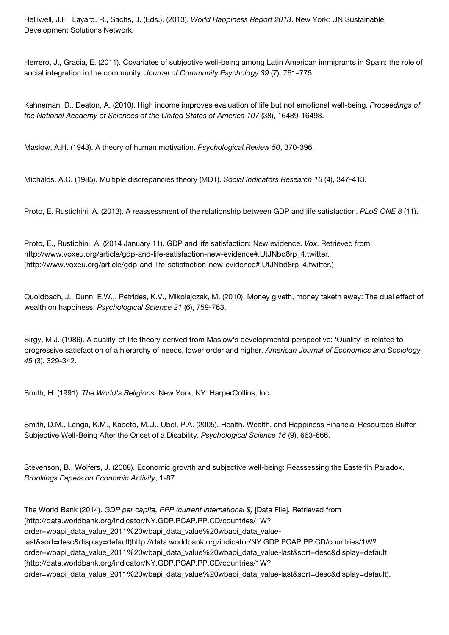Helliwell, J.F., Layard, R., Sachs, J. (Eds.). (2013). *World Happiness Report 2013*. New York: UN Sustainable Development Solutions Network.

Herrero, J., Gracia, E. (2011). Covariates of subjective well-being among Latin American immigrants in Spain: the role of social integration in the community. *Journal of Community Psychology 39* (7), 761–775.

Kahneman, D., Deaton, A. (2010). High income improves evaluation of life but not emotional well-being. *Proceedings of the National Academy of Sciences of the United States of America 107* (38), 16489-16493.

Maslow, A.H. (1943). A theory of human motivation. *Psychological Review 50*, 370-396.

Michalos, A.C. (1985). Multiple discrepancies theory (MDT). *Social Indicators Research 16* (4), 347-413.

Proto, E. Rustichini, A. (2013). A reassessment of the relationship between GDP and life satisfaction. *PLoS ONE 8* (11).

Proto, E., Rustichini, A. (2014 January 11). GDP and life satisfaction: New evidence. *Vox*. Retrieved from http://www.voxeu.org/article/gdp-and-life-satisfaction-new-evidence#.UtJNbd8rp\_4.twitter. [\(http://www.voxeu.org/article/gdp-and-life-satisfaction-new-evidence#.UtJNbd8rp\\_4.twitter.\)](http://www.voxeu.org/article/gdp-and-life-satisfaction-new-evidence#.UtJNbd8rp_4.twitter.)

Quoidbach, J., Dunn, E.W.,. Petrides, K.V., Mikolajczak, M. (2010). Money giveth, money taketh away: The dual effect of wealth on happiness. *Psychological Science 21* (6), 759-763.

Sirgy, M.J. (1986). A quality-of-life theory derived from Maslow's developmental perspective: 'Quality' is related to progressive satisfaction of a hierarchy of needs, lower order and higher. *American Journal of Economics and Sociology 45* (3), 329-342.

Smith, H. (1991). *The World's Religions.* New York, NY: HarperCollins, Inc.

Smith, D.M., Langa, K.M., Kabeto, M.U., Ubel, P.A. (2005). Health, Wealth, and Happiness Financial Resources Buffer Subjective Well-Being After the Onset of a Disability. *Psychological Science 16* (9), 663-666.

Stevenson, B., Wolfers, J. (2008). Economic growth and subjective well-being: Reassessing the Easterlin Paradox. *Brookings Papers on Economic Activity*, 1-87.

The World Bank (2014). *GDP per capita, PPP (current international \$)* [Data File]*.* Retrieved from (http://data.worldbank.org/indicator/NY.GDP.PCAP.PP.CD/countries/1W? order=wbapi data value 2011%20wbapi data value%20wbapi data value[last&sort=desc&display=default\)http://data.worldbank.org/indicator/NY.GDP.P](http://data.worldbank.org/indicator/NY.GDP.PCAP.PP.CD/countries/1W?order=wbapi_data_value_2011%20wbapi_data_value%20wbapi_data_value-last&sort=desc&display=default)CAP.PP.CD/countries/1W? order=wbapi\_data\_value\_2011%20wbapi\_data\_value%20wbapi\_data\_value-last&sort=desc&display=default (http://data.worldbank.org/indicator/NY.GDP.PCAP.PP.CD/countries/1W? [order=wbapi\\_data\\_value\\_2011%20wbapi\\_data\\_value%20wbapi\\_data\\_value-last&sort=desc&display=default\).](http://data.worldbank.org/indicator/NY.GDP.PCAP.PP.CD/countries/1W?order=wbapi_data_value_2011%20wbapi_data_value%20wbapi_data_value-last&sort=desc&display=default)